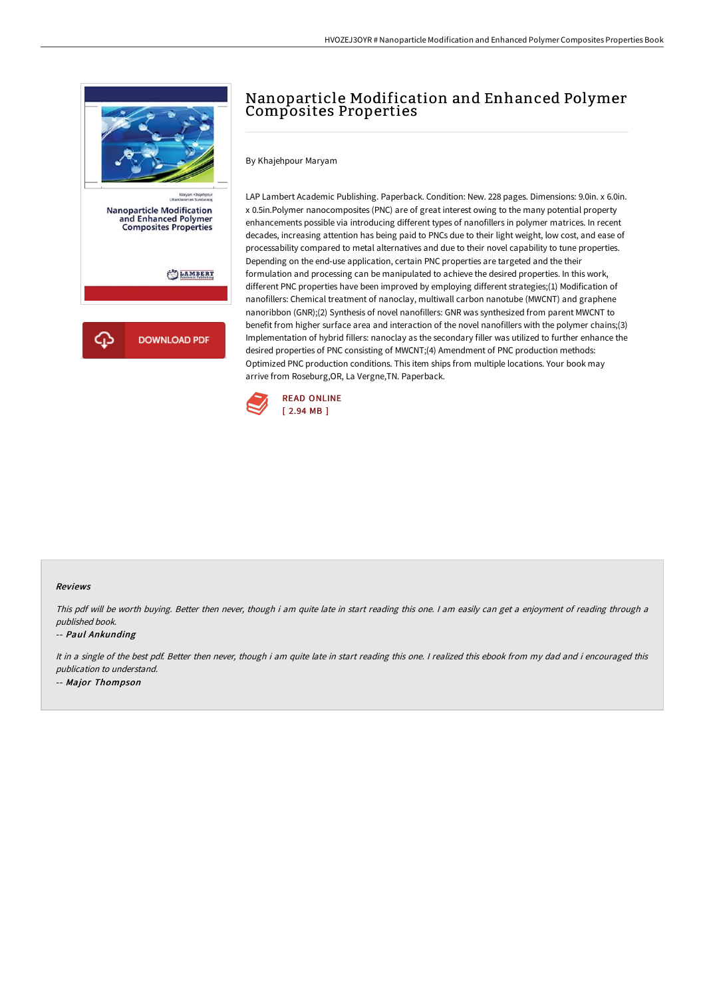

## Nanoparticle Modification and Enhanced Polymer Composites Properties

By Khajehpour Maryam

LAP Lambert Academic Publishing. Paperback. Condition: New. 228 pages. Dimensions: 9.0in. x 6.0in. x 0.5in.Polymer nanocomposites (PNC) are of great interest owing to the many potential property enhancements possible via introducing different types of nanofillers in polymer matrices. In recent decades, increasing attention has being paid to PNCs due to their light weight, low cost, and ease of processability compared to metal alternatives and due to their novel capability to tune properties. Depending on the end-use application, certain PNC properties are targeted and the their formulation and processing can be manipulated to achieve the desired properties. In this work, different PNC properties have been improved by employing different strategies;(1) Modification of nanofillers: Chemical treatment of nanoclay, multiwall carbon nanotube (MWCNT) and graphene nanoribbon (GNR);(2) Synthesis of novel nanofillers: GNR was synthesized from parent MWCNT to benefit from higher surface area and interaction of the novel nanofillers with the polymer chains;(3) Implementation of hybrid fillers: nanoclay as the secondary filler was utilized to further enhance the desired properties of PNC consisting of MWCNT;(4) Amendment of PNC production methods: Optimized PNC production conditions. This item ships from multiple locations. Your book may arrive from Roseburg,OR, La Vergne,TN. Paperback.



## Reviews

This pdf will be worth buying. Better then never, though i am quite late in start reading this one. <sup>I</sup> am easily can get <sup>a</sup> enjoyment of reading through <sup>a</sup> published book.

## -- Paul Ankunding

It in a single of the best pdf. Better then never, though i am quite late in start reading this one. I realized this ebook from my dad and i encouraged this publication to understand. -- Major Thompson